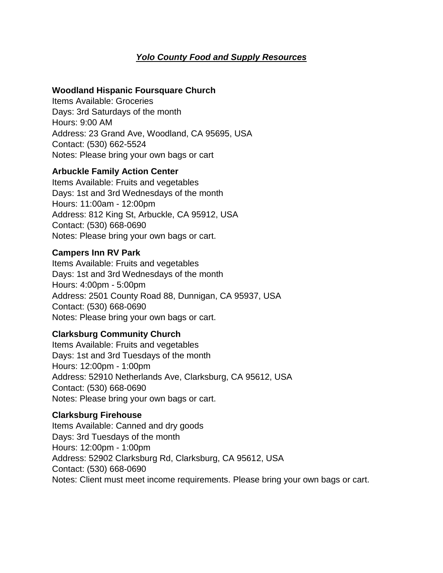# *Yolo County Food and Supply Resources*

### **[Woodland Hispanic Foursquare Church](javascript:void(0);)**

Items Available: Groceries Days: 3rd Saturdays of the month Hours: 9:00 AM Address: 23 Grand Ave, Woodland, CA 95695, USA Contact: [\(530\) 662-5524](tel:5306625524) Notes: Please bring your own bags or cart

### **[Arbuckle Family Action Center](javascript:void(0);)**

Items Available: Fruits and vegetables Days: 1st and 3rd Wednesdays of the month Hours: 11:00am - 12:00pm Address: 812 King St, Arbuckle, CA 95912, USA Contact: [\(530\) 668-0690](tel:5306680690) Notes: Please bring your own bags or cart.

#### **[Campers Inn RV Park](javascript:void(0);)**

Items Available: Fruits and vegetables Days: 1st and 3rd Wednesdays of the month Hours: 4:00pm - 5:00pm Address: 2501 County Road 88, Dunnigan, CA 95937, USA Contact: [\(530\) 668-0690](tel:5306680690) Notes: Please bring your own bags or cart.

### **[Clarksburg Community Church](javascript:void(0);)**

Items Available: Fruits and vegetables Days: 1st and 3rd Tuesdays of the month Hours: 12:00pm - 1:00pm Address: 52910 Netherlands Ave, Clarksburg, CA 95612, USA Contact: [\(530\) 668-0690](tel:5306680690) Notes: Please bring your own bags or cart.

### **[Clarksburg Firehouse](javascript:void(0);)**

Items Available: Canned and dry goods Days: 3rd Tuesdays of the month Hours: 12:00pm - 1:00pm Address: 52902 Clarksburg Rd, Clarksburg, CA 95612, USA Contact: [\(530\) 668-0690](tel:5306680690) Notes: [Client must meet income requirements.](https://yolofoodbank.org/wp-content/uploads/2018/07/EFA-14-The-Emergency-Food-Assistance-Program-TEFAP-2018-Guidelines.pdf) Please bring your own bags or cart.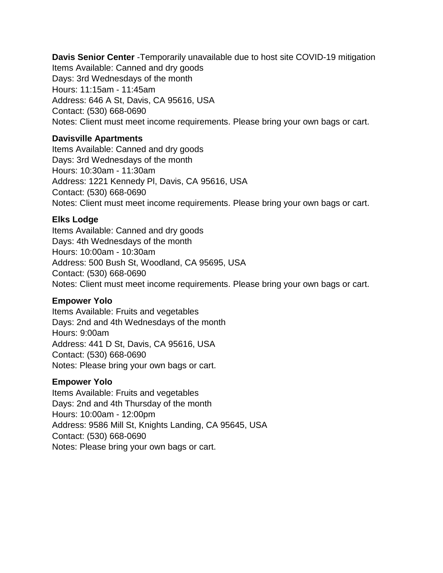**Davis Senior Center** [-Temporarily unavailable due to host](javascript:void(0);) site COVID-19 mitigation Items Available: Canned and dry goods Days: 3rd Wednesdays of the month Hours: 11:15am - 11:45am Address: 646 A St, Davis, CA 95616, USA Contact: [\(530\) 668-0690](tel:5306680690) Notes: [Client must meet income requirements.](https://yolofoodbank.org/wp-content/uploads/2018/07/EFA-14-The-Emergency-Food-Assistance-Program-TEFAP-2018-Guidelines.pdf) Please bring your own bags or cart.

# **[Davisville Apartments](javascript:void(0);)**

Items Available: Canned and dry goods Days: 3rd Wednesdays of the month Hours: 10:30am - 11:30am Address: 1221 Kennedy Pl, Davis, CA 95616, USA Contact: [\(530\) 668-0690](tel:5306680690) Notes: [Client must meet income requirements.](https://yolofoodbank.org/wp-content/uploads/2018/07/EFA-14-The-Emergency-Food-Assistance-Program-TEFAP-2018-Guidelines.pdf) Please bring your own bags or cart.

# **[Elks Lodge](javascript:void(0);)**

Items Available: Canned and dry goods Days: 4th Wednesdays of the month Hours: 10:00am - 10:30am Address: 500 Bush St, Woodland, CA 95695, USA Contact: [\(530\) 668-0690](tel:5306680690) Notes: [Client must meet income requirements.](https://yolofoodbank.org/wp-content/uploads/2018/07/EFA-14-The-Emergency-Food-Assistance-Program-TEFAP-2018-Guidelines.pdf) Please bring your own bags or cart.

# **[Empower Yolo](javascript:void(0);)**

Items Available: Fruits and vegetables Days: 2nd and 4th Wednesdays of the month Hours: 9:00am Address: 441 D St, Davis, CA 95616, USA Contact: [\(530\) 668-0690](tel:5306680690) Notes: Please bring your own bags or cart.

# **[Empower Yolo](javascript:void(0);)**

Items Available: Fruits and vegetables Days: 2nd and 4th Thursday of the month Hours: 10:00am - 12:00pm Address: 9586 Mill St, Knights Landing, CA 95645, USA Contact: [\(530\) 668-0690](tel:5306680690) Notes: Please bring your own bags or cart.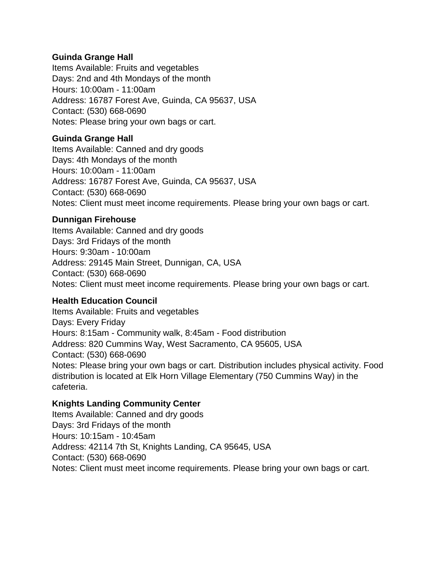### **[Guinda Grange Hall](javascript:void(0);)**

Items Available: Fruits and vegetables Days: 2nd and 4th Mondays of the month Hours: 10:00am - 11:00am Address: 16787 Forest Ave, Guinda, CA 95637, USA Contact: [\(530\) 668-0690](tel:5306680690) Notes: Please bring your own bags or cart.

### **[Guinda Grange Hall](javascript:void(0);)**

Items Available: Canned and dry goods Days: 4th Mondays of the month Hours: 10:00am - 11:00am Address: 16787 Forest Ave, Guinda, CA 95637, USA Contact: [\(530\) 668-0690](tel:5306680690) Notes: [Client must meet income requirements.](https://yolofoodbank.org/wp-content/uploads/2018/07/EFA-14-The-Emergency-Food-Assistance-Program-TEFAP-2018-Guidelines.pdf) Please bring your own bags or cart.

# **[Dunnigan Firehouse](javascript:void(0);)**

Items Available: Canned and dry goods Days: 3rd Fridays of the month Hours: 9:30am - 10:00am Address: 29145 Main Street, Dunnigan, CA, USA Contact: [\(530\) 668-0690](tel:5306680690) Notes: [Client must meet income requirements.](https://yolofoodbank.org/wp-content/uploads/2018/07/EFA-14-The-Emergency-Food-Assistance-Program-TEFAP-2018-Guidelines.pdf) Please bring your own bags or cart.

# **[Health Education Council](javascript:void(0);)**

Items Available: Fruits and vegetables Days: Every Friday Hours: 8:15am - Community walk, 8:45am - Food distribution Address: 820 Cummins Way, West Sacramento, CA 95605, USA Contact: [\(530\) 668-0690](tel:5306680690) Notes: Please bring your own bags or cart. Distribution includes physical activity. Food distribution is located at Elk Horn Village Elementary (750 Cummins Way) in the cafeteria.

# **[Knights Landing Community Center](javascript:void(0);)**

Items Available: Canned and dry goods Days: 3rd Fridays of the month Hours: 10:15am - 10:45am Address: 42114 7th St, Knights Landing, CA 95645, USA Contact: [\(530\) 668-0690](tel:5306680690) Notes: [Client must meet income requirements.](https://yolofoodbank.org/wp-content/uploads/2018/07/EFA-14-The-Emergency-Food-Assistance-Program-TEFAP-2018-Guidelines.pdf) Please bring your own bags or cart.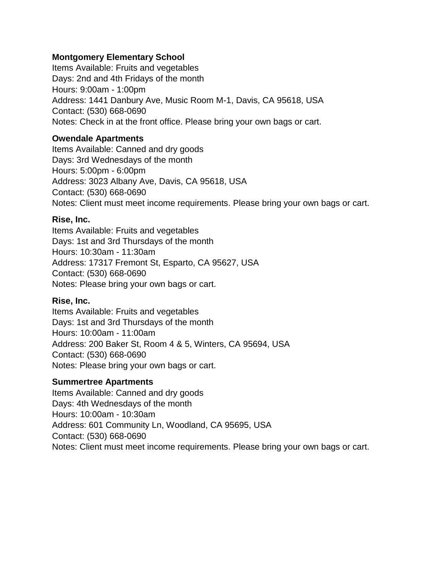### **[Montgomery Elementary School](javascript:void(0);)**

Items Available: Fruits and vegetables Days: 2nd and 4th Fridays of the month Hours: 9:00am - 1:00pm Address: 1441 Danbury Ave, Music Room M-1, Davis, CA 95618, USA Contact: [\(530\) 668-0690](tel:5306680690) Notes: Check in at the front office. Please bring your own bags or cart.

### **[Owendale Apartments](javascript:void(0);)**

Items Available: Canned and dry goods Days: 3rd Wednesdays of the month Hours: 5:00pm - 6:00pm Address: 3023 Albany Ave, Davis, CA 95618, USA Contact: [\(530\) 668-0690](tel:5306680690) Notes: [Client must meet income requirements.](https://yolofoodbank.org/wp-content/uploads/2018/07/EFA-14-The-Emergency-Food-Assistance-Program-TEFAP-2018-Guidelines.pdf) Please bring your own bags or cart.

### **[Rise, Inc.](javascript:void(0);)**

Items Available: Fruits and vegetables Days: 1st and 3rd Thursdays of the month Hours: 10:30am - 11:30am Address: 17317 Fremont St, Esparto, CA 95627, USA Contact: [\(530\) 668-0690](tel:5306680690) Notes: Please bring your own bags or cart.

### **[Rise, Inc.](javascript:void(0);)**

Items Available: Fruits and vegetables Days: 1st and 3rd Thursdays of the month Hours: 10:00am - 11:00am Address: 200 Baker St, Room 4 & 5, Winters, CA 95694, USA Contact: [\(530\) 668-0690](tel:5306680690) Notes: Please bring your own bags or cart.

# **[Summertree Apartments](javascript:void(0);)**

Items Available: Canned and dry goods Days: 4th Wednesdays of the month Hours: 10:00am - 10:30am Address: 601 Community Ln, Woodland, CA 95695, USA Contact: [\(530\) 668-0690](tel:5306680690) Notes: [Client must meet income requirements.](https://yolofoodbank.org/wp-content/uploads/2018/07/EFA-14-The-Emergency-Food-Assistance-Program-TEFAP-2018-Guidelines.pdf) Please bring your own bags or cart.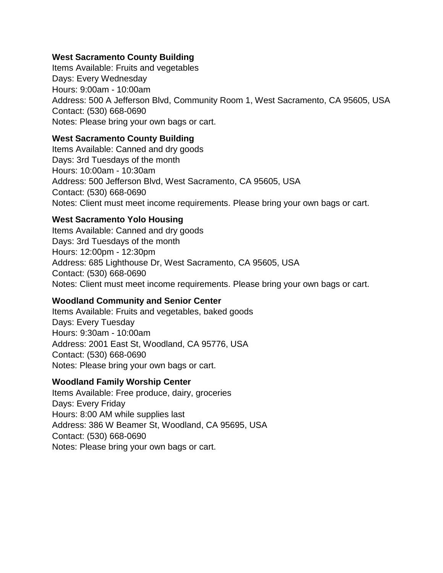### **[West Sacramento County Building](javascript:void(0);)**

Items Available: Fruits and vegetables Days: Every Wednesday Hours: 9:00am - 10:00am Address: 500 A Jefferson Blvd, Community Room 1, West Sacramento, CA 95605, USA Contact: [\(530\) 668-0690](tel:5306680690) Notes: Please bring your own bags or cart.

### **[West Sacramento County Building](javascript:void(0);)**

Items Available: Canned and dry goods Days: 3rd Tuesdays of the month Hours: 10:00am - 10:30am Address: 500 Jefferson Blvd, West Sacramento, CA 95605, USA Contact: [\(530\) 668-0690](tel:5306680690) Notes: [Client must meet income requirements.](https://yolofoodbank.org/wp-content/uploads/2018/07/EFA-14-The-Emergency-Food-Assistance-Program-TEFAP-2018-Guidelines.pdf) Please bring your own bags or cart.

### **[West Sacramento Yolo Housing](javascript:void(0);)**

Items Available: Canned and dry goods Days: 3rd Tuesdays of the month Hours: 12:00pm - 12:30pm Address: 685 Lighthouse Dr, West Sacramento, CA 95605, USA Contact: [\(530\) 668-0690](tel:5306680690) Notes: [Client must meet income requirements.](https://yolofoodbank.org/wp-content/uploads/2018/07/EFA-14-The-Emergency-Food-Assistance-Program-TEFAP-2018-Guidelines.pdf) Please bring your own bags or cart.

# **[Woodland Community and Senior Center](javascript:void(0);)**

Items Available: Fruits and vegetables, baked goods Days: Every Tuesday Hours: 9:30am - 10:00am Address: 2001 East St, Woodland, CA 95776, USA Contact: [\(530\) 668-0690](tel:5306680690) Notes: Please bring your own bags or cart.

# **[Woodland Family Worship Center](javascript:void(0);)**

Items Available: Free produce, dairy, groceries Days: Every Friday Hours: 8:00 AM while supplies last Address: 386 W Beamer St, Woodland, CA 95695, USA Contact: [\(530\) 668-0690](tel:5306680690) Notes: Please bring your own bags or cart.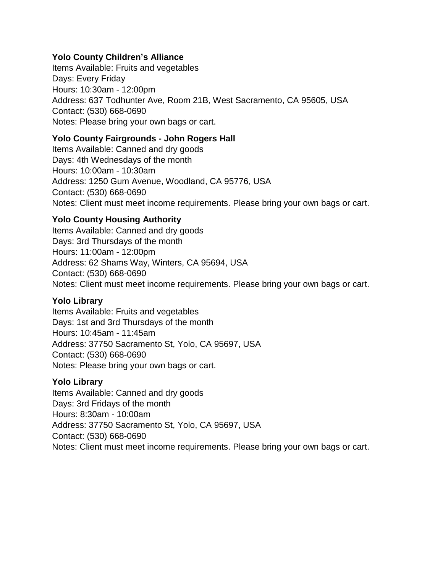#### **[Yolo County Children's Alliance](javascript:void(0);)**

Items Available: Fruits and vegetables Days: Every Friday Hours: 10:30am - 12:00pm Address: 637 Todhunter Ave, Room 21B, West Sacramento, CA 95605, USA Contact: [\(530\) 668-0690](tel:5306680690) Notes: Please bring your own bags or cart.

### **[Yolo County Fairgrounds -](javascript:void(0);) John Rogers Hall**

Items Available: Canned and dry goods Days: 4th Wednesdays of the month Hours: 10:00am - 10:30am Address: 1250 Gum Avenue, Woodland, CA 95776, USA Contact: [\(530\) 668-0690](tel:5306680690) Notes: [Client must meet income requirements.](https://yolofoodbank.org/wp-content/uploads/2018/07/EFA-14-The-Emergency-Food-Assistance-Program-TEFAP-2018-Guidelines.pdf) Please bring your own bags or cart.

### **[Yolo County Housing Authority](javascript:void(0);)**

Items Available: Canned and dry goods Days: 3rd Thursdays of the month Hours: 11:00am - 12:00pm Address: 62 Shams Way, Winters, CA 95694, USA Contact: [\(530\) 668-0690](tel:5306680690) Notes: [Client must meet income requirements.](https://yolofoodbank.org/wp-content/uploads/2018/07/EFA-14-The-Emergency-Food-Assistance-Program-TEFAP-2018-Guidelines.pdf) Please bring your own bags or cart.

### **[Yolo Library](javascript:void(0);)**

Items Available: Fruits and vegetables Days: 1st and 3rd Thursdays of the month Hours: 10:45am - 11:45am Address: 37750 Sacramento St, Yolo, CA 95697, USA Contact: [\(530\) 668-0690](tel:5306680690) Notes: Please bring your own bags or cart.

### **[Yolo Library](javascript:void(0);)**

Items Available: Canned and dry goods Days: 3rd Fridays of the month Hours: 8:30am - 10:00am Address: 37750 Sacramento St, Yolo, CA 95697, USA Contact: [\(530\) 668-0690](tel:5306680690) Notes: [Client must meet income requirements.](https://yolofoodbank.org/wp-content/uploads/2018/07/EFA-14-The-Emergency-Food-Assistance-Program-TEFAP-2018-Guidelines.pdf) Please bring your own bags or cart.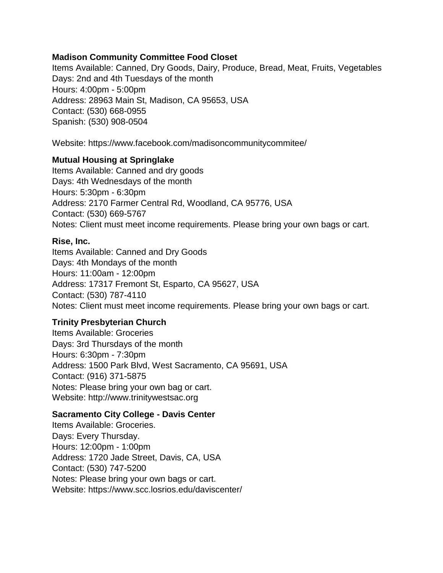### **[Madison Community Committee Food Closet](javascript:void(0);)**

Items Available: Canned, Dry Goods, Dairy, Produce, Bread, Meat, Fruits, Vegetables Days: 2nd and 4th Tuesdays of the month Hours: 4:00pm - 5:00pm Address: 28963 Main St, Madison, CA 95653, USA Contact: [\(530\) 668-0955](tel:5306680955) Spanish: [\(530\) 908-0504](tel:5309080504) 

Website:<https://www.facebook.com/madisoncommunitycommitee/>

# **[Mutual Housing at Springlake](javascript:void(0);)**

Items Available: Canned and dry goods Days: 4th Wednesdays of the month Hours: 5:30pm - 6:30pm Address: 2170 Farmer Central Rd, Woodland, CA 95776, USA Contact: [\(530\) 669-5767](tel:5306695767) Notes: [Client must meet income requirements.](https://yolofoodbank.org/wp-content/uploads/2018/07/EFA-14-The-Emergency-Food-Assistance-Program-TEFAP-2018-Guidelines.pdf) Please bring your own bags or cart.

### **[Rise, Inc.](javascript:void(0);)**

Items Available: Canned and Dry Goods Days: 4th Mondays of the month Hours: 11:00am - 12:00pm Address: 17317 Fremont St, Esparto, CA 95627, USA Contact: [\(530\) 787-4110](tel:5307874110) Notes: [Client must meet income requirements.](https://yolofoodbank.org/wp-content/uploads/2018/07/EFA-14-The-Emergency-Food-Assistance-Program-TEFAP-2018-Guidelines.pdf) Please bring your own bags or cart.

# **[Trinity Presbyterian Church](javascript:void(0);)**

Items Available: Groceries Days: 3rd Thursdays of the month Hours: 6:30pm - 7:30pm Address: 1500 Park Blvd, West Sacramento, CA 95691, USA Contact: [\(916\) 371-5875](tel:9163715875) Notes: Please bring your own bag or cart. Website: [http://www.trinitywestsac.org](http://www.trinitywestsac.org/)

# **[Sacramento City College -](javascript:void(0);) Davis Center**

Items Available: Groceries. Days: Every Thursday. Hours: 12:00pm - 1:00pm Address: 1720 Jade Street, Davis, CA, USA Contact: (530) 747-5200 Notes: Please bring your own bags or cart. Website: https://www.scc.losrios.edu/daviscenter/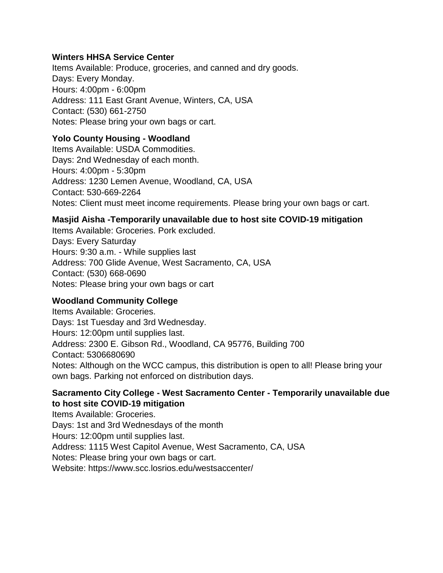### **[Winters HHSA Service Center](javascript:void(0);)**

Items Available: Produce, groceries, and canned and dry goods. Days: Every Monday. Hours: 4:00pm - 6:00pm Address: 111 East Grant Avenue, Winters, CA, USA Contact: (530) 661-2750 Notes: Please bring your own bags or cart.

# **[Yolo County Housing -](javascript:void(0);) Woodland**

Items Available: USDA Commodities. Days: 2nd Wednesday of each month. Hours: 4:00pm - 5:30pm Address: 1230 Lemen Avenue, Woodland, CA, USA Contact: 530-669-2264 Notes: [Client must meet income requirements.](https://yolofoodbank.org/wp-content/uploads/2018/07/EFA-14-The-Emergency-Food-Assistance-Program-TEFAP-2018-Guidelines.pdf) Please bring your own bags or cart.

# **[Masjid Aisha -Temporarily unavailable due to host site COVID-19 mitigation](javascript:void(0);)**

Items Available: Groceries. Pork excluded. Days: Every Saturday Hours: 9:30 a.m. - While supplies last Address: 700 Glide Avenue, West Sacramento, CA, USA Contact: [\(530\) 668-0690](tel:5306680690) Notes: Please bring your own bags or cart

# **[Woodland Community College](javascript:void(0);)**

Items Available: Groceries. Days: 1st Tuesday and 3rd Wednesday. Hours: 12:00pm until supplies last. Address: 2300 E. Gibson Rd., Woodland, CA 95776, Building 700 Contact: 5306680690 Notes: Although on the WCC campus, this distribution is open to all! Please bring your own bags. Parking not enforced on distribution days.

### **Sacramento City College - West Sacramento Center - [Temporarily unavailable due](javascript:void(0);)  [to host site COVID-19 mitigation](javascript:void(0);)**

Items Available: Groceries. Days: 1st and 3rd Wednesdays of the month Hours: 12:00pm until supplies last. Address: 1115 West Capitol Avenue, West Sacramento, CA, USA Notes: Please bring your own bags or cart. Website: https://www.scc.losrios.edu/westsaccenter/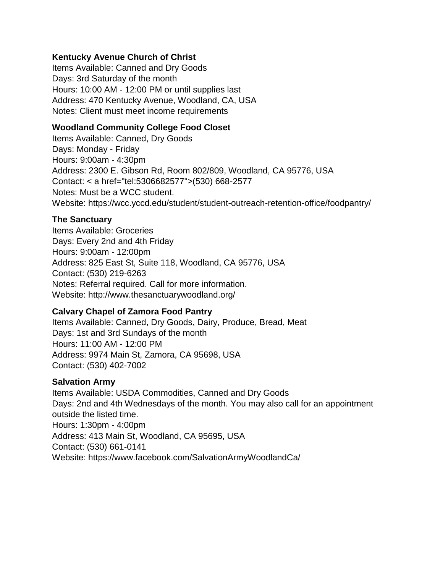### **[Kentucky Avenue Church of Christ](javascript:void(0);)**

Items Available: Canned and Dry Goods Days: 3rd Saturday of the month Hours: 10:00 AM - 12:00 PM or until supplies last Address: 470 Kentucky Avenue, Woodland, CA, USA Notes: Client must meet income requirements

### **[Woodland Community College Food Closet](javascript:void(0);)**

Items Available: Canned, Dry Goods Days: Monday - Friday Hours: 9:00am - 4:30pm Address: 2300 E. Gibson Rd, Room 802/809, Woodland, CA 95776, USA Contact: < a href="tel:5306682577">(530) 668-2577 Notes: Must be a WCC student. Website:<https://wcc.yccd.edu/student/student-outreach-retention-office/foodpantry/>

### **[The Sanctuary](javascript:void(0);)**

Items Available: Groceries Days: Every 2nd and 4th Friday Hours: 9:00am - 12:00pm Address: 825 East St, Suite 118, Woodland, CA 95776, USA Contact: [\(530\) 219-6263](tel:5302196263) Notes: Referral required. Call for more information. Website:<http://www.thesanctuarywoodland.org/>

# **[Calvary Chapel of Zamora Food Pantry](javascript:void(0);)**

Items Available: Canned, Dry Goods, Dairy, Produce, Bread, Meat Days: 1st and 3rd Sundays of the month Hours: 11:00 AM - 12:00 PM Address: 9974 Main St, Zamora, CA 95698, USA Contact: [\(530\) 402-7002](tel:5304027002)

### **[Salvation Army](javascript:void(0);)**

Items Available: USDA Commodities, Canned and Dry Goods Days: 2nd and 4th Wednesdays of the month. You may also call for an appointment outside the listed time. Hours: 1:30pm - 4:00pm Address: 413 Main St, Woodland, CA 95695, USA Contact: [\(530\) 661-0141](tel:5306610141) Website:<https://www.facebook.com/SalvationArmyWoodlandCa/>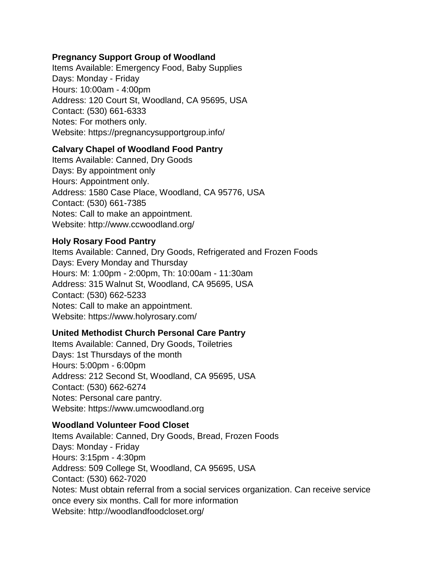### **[Pregnancy Support Group of Woodland](javascript:void(0);)**

Items Available: Emergency Food, Baby Supplies Days: Monday - Friday Hours: 10:00am - 4:00pm Address: 120 Court St, Woodland, CA 95695, USA Contact: [\(530\) 661-6333](tel:5306616333) Notes: For mothers only. Website:<https://pregnancysupportgroup.info/>

### **[Calvary Chapel of Woodland Food Pantry](javascript:void(0);)**

Items Available: Canned, Dry Goods Days: By appointment only Hours: Appointment only. Address: 1580 Case Place, Woodland, CA 95776, USA Contact: [\(530\) 661-7385](tel:5306617385) Notes: Call to make an appointment. Website:<http://www.ccwoodland.org/>

### **[Holy Rosary Food Pantry](javascript:void(0);)**

Items Available: Canned, Dry Goods, Refrigerated and Frozen Foods Days: Every Monday and Thursday Hours: M: 1:00pm - 2:00pm, Th: 10:00am - 11:30am Address: 315 Walnut St, Woodland, CA 95695, USA Contact: [\(530\) 662-5233](tel:5306625233) Notes: Call to make an appointment. Website:<https://www.holyrosary.com/>

# **[United Methodist Church Personal Care Pantry](javascript:void(0);)**

Items Available: Canned, Dry Goods, Toiletries Days: 1st Thursdays of the month Hours: 5:00pm - 6:00pm Address: 212 Second St, Woodland, CA 95695, USA Contact: [\(530\) 662-6274](tel:5306626274) Notes: Personal care pantry. Website: [https://www.umcwoodland.org](https://www.umcwoodland.org/)

# **[Woodland Volunteer Food Closet](javascript:void(0);)**

Items Available: Canned, Dry Goods, Bread, Frozen Foods Days: Monday - Friday Hours: 3:15pm - 4:30pm Address: 509 College St, Woodland, CA 95695, USA Contact: [\(530\) 662-7020](tel:5306627020) Notes: Must obtain referral from a social services organization. Can receive service once every six months. Call for more information Website:<http://woodlandfoodcloset.org/>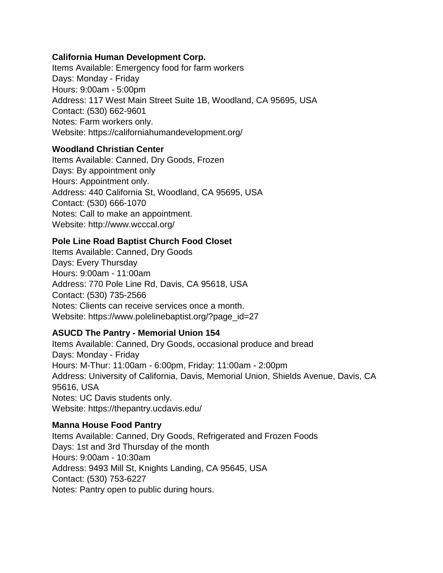### **[California Human Development Corp.](javascript:void(0);)**

Items Available: Emergency food for farm workers Days: Monday - Friday Hours: 9:00am - 5:00pm Address: 117 West Main Street Suite 1B, Woodland, CA 95695, USA Contact: (530) [662-9601](tel:5306629601) Notes: Farm workers only. Website:<https://californiahumandevelopment.org/>

# **[Woodland Christian Center](javascript:void(0);)**

Items Available: Canned, Dry Goods, Frozen Days: By appointment only Hours: Appointment only. Address: 440 California St, Woodland, CA 95695, USA Contact: [\(530\) 666-1070](tel:5306661070) Notes: Call to make an appointment. Website:<http://www.wcccal.org/>

### **[Pole Line Road Baptist Church Food Closet](javascript:void(0);)**

Items Available: Canned, Dry Goods Days: Every Thursday Hours: 9:00am - 11:00am Address: 770 Pole Line Rd, Davis, CA 95618, USA Contact: [\(530\) 735-2566](tel:5307352566) Notes: Clients can receive services once a month. Website: [https://www.polelinebaptist.org/?page\\_id=27](https://www.polelinebaptist.org/?page_id=27)

# **[ASUCD The Pantry -](javascript:void(0);) Memorial Union 154**

Items Available: Canned, Dry Goods, occasional produce and bread Days: Monday - Friday Hours: M-Thur: 11:00am - 6:00pm, Friday: 11:00am - 2:00pm Address: University of California, Davis, Memorial Union, Shields Avenue, Davis, CA 95616, USA Notes: UC Davis students only. Website:<https://thepantry.ucdavis.edu/>

### **[Manna House Food Pantry](javascript:void(0);)**

Items Available: Canned, Dry Goods, Refrigerated and Frozen Foods Days: 1st and 3rd Thursday of the month Hours: 9:00am - 10:30am Address: 9493 Mill St, Knights Landing, CA 95645, USA Contact: [\(530\) 753-6227](tel:5307536227) Notes: Pantry open to public during hours.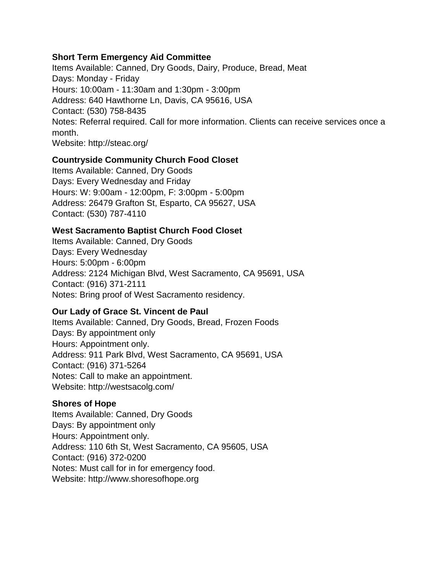#### **[Short Term Emergency Aid Committee](javascript:void(0);)**

Items Available: Canned, Dry Goods, Dairy, Produce, Bread, Meat Days: Monday - Friday Hours: 10:00am - 11:30am and 1:30pm - 3:00pm Address: 640 Hawthorne Ln, Davis, CA 95616, USA Contact: [\(530\) 758-8435](tel:5307588435) Notes: Referral required. Call for more information. Clients can receive services once a month. Website:<http://steac.org/>

#### **[Countryside Community Church Food Closet](javascript:void(0);)**

Items Available: Canned, Dry Goods Days: Every Wednesday and Friday Hours: W: 9:00am - 12:00pm, F: 3:00pm - 5:00pm Address: 26479 Grafton St, Esparto, CA 95627, USA Contact: [\(530\) 787-4110](tel:5307874110)

#### **[West Sacramento Baptist Church Food Closet](javascript:void(0);)**

Items Available: Canned, Dry Goods Days: Every Wednesday Hours: 5:00pm - 6:00pm Address: 2124 Michigan Blvd, West Sacramento, CA 95691, USA Contact: [\(916\) 371-2111](tel:9163712111) Notes: Bring proof of West Sacramento residency.

### **[Our Lady of Grace St. Vincent de Paul](javascript:void(0);)**

Items Available: Canned, Dry Goods, Bread, Frozen Foods Days: By appointment only Hours: Appointment only. Address: 911 Park Blvd, West Sacramento, CA 95691, USA Contact: [\(916\) 371-5264](tel:9163715264) Notes: Call to make an appointment. Website:<http://westsacolg.com/>

#### **[Shores of Hope](javascript:void(0);)**

Items Available: Canned, Dry Goods Days: By appointment only Hours: Appointment only. Address: 110 6th St, West Sacramento, CA 95605, USA Contact: [\(916\) 372-0200](tel:9163720200) Notes: Must call for in for emergency food. Website: [http://www.shoresofhope.org](http://www.shoresofhope.org/)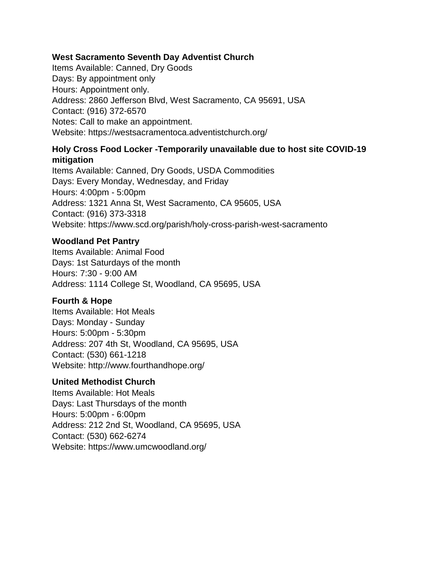### **[West Sacramento Seventh Day Adventist Church](javascript:void(0);)**

Items Available: Canned, Dry Goods Days: By appointment only Hours: Appointment only. Address: 2860 Jefferson Blvd, West Sacramento, CA 95691, USA Contact: [\(916\) 372-6570](tel:9163726570) Notes: Call to make an appointment. Website:<https://westsacramentoca.adventistchurch.org/>

### **[Holy Cross Food Locker -Temporarily unavailable due to host site COVID-19](javascript:void(0);)  [mitigation](javascript:void(0);)**

Items Available: Canned, Dry Goods, USDA Commodities Days: Every Monday, Wednesday, and Friday Hours: 4:00pm - 5:00pm Address: 1321 Anna St, West Sacramento, CA 95605, USA Contact: [\(916\) 373-3318](tel:9163733318) Website:<https://www.scd.org/parish/holy-cross-parish-west-sacramento>

### **[Woodland Pet Pantry](javascript:void(0);)**

Items Available: Animal Food Days: 1st Saturdays of the month Hours: 7:30 - 9:00 AM Address: 1114 College St, Woodland, CA 95695, USA

# **[Fourth & Hope](javascript:void(0);)**

Items Available: Hot Meals Days: Monday - Sunday Hours: 5:00pm - 5:30pm Address: 207 4th St, Woodland, CA 95695, USA Contact: [\(530\) 661-1218](tel:5306611218) Website:<http://www.fourthandhope.org/>

### **[United Methodist Church](javascript:void(0);)**

Items Available: Hot Meals Days: Last Thursdays of the month Hours: 5:00pm - 6:00pm Address: 212 2nd St, Woodland, CA 95695, USA Contact: [\(530\) 662-6274](tel:5306626274) Website:<https://www.umcwoodland.org/>